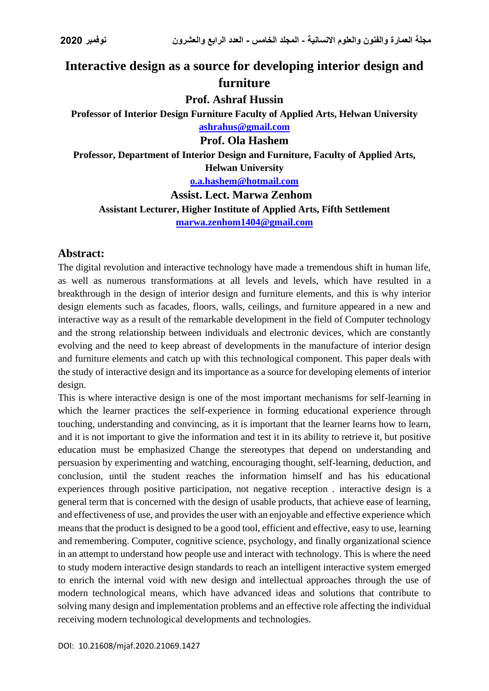# **Interactive design as a source for developing interior design and furniture**

#### **Prof. Ashraf Hussin**

**Professor of Interior Design Furniture Faculty of Applied Arts, Helwan University [ashrahus@gmail.com](mailto:ashrahus@gmail.com)**

#### **Prof. Ola Hashem**

**Professor, Department of Interior Design and Furniture, Faculty of Applied Arts, Helwan University**

**[o.a.hashem@hotmail.com](mailto:o.a.hashem@hotmail.com)**

**Assist. Lect. Marwa Zenhom Assistant Lecturer, Higher Institute of Applied Arts, Fifth Settlement**

**[marwa.zenhom1404@gmail.com](mailto:marwa.zenhom1404@gmail.com)**

### **Abstract:**

The digital revolution and interactive technology have made a tremendous shift in human life, as well as numerous transformations at all levels and levels, which have resulted in a breakthrough in the design of interior design and furniture elements, and this is why interior design elements such as facades, floors, walls, ceilings, and furniture appeared in a new and interactive way as a result of the remarkable development in the field of Computer technology and the strong relationship between individuals and electronic devices, which are constantly evolving and the need to keep abreast of developments in the manufacture of interior design and furniture elements and catch up with this technological component. This paper deals with the study of interactive design and its importance as a source for developing elements of interior design.

This is where interactive design is one of the most important mechanisms for self-learning in which the learner practices the self-experience in forming educational experience through touching, understanding and convincing, as it is important that the learner learns how to learn, and it is not important to give the information and test it in its ability to retrieve it, but positive education must be emphasized Change the stereotypes that depend on understanding and persuasion by experimenting and watching, encouraging thought, self-learning, deduction, and conclusion, until the student reaches the information himself and has his educational experiences through positive participation, not negative reception . interactive design is a general term that is concerned with the design of usable products, that achieve ease of learning, and effectiveness of use, and provides the user with an enjoyable and effective experience which means that the product is designed to be a good tool, efficient and effective, easy to use, learning and remembering. Computer, cognitive science, psychology, and finally organizational science in an attempt to understand how people use and interact with technology. This is where the need to study modern interactive design standards to reach an intelligent interactive system emerged to enrich the internal void with new design and intellectual approaches through the use of modern technological means, which have advanced ideas and solutions that contribute to solving many design and implementation problems and an effective role affecting the individual receiving modern technological developments and technologies.